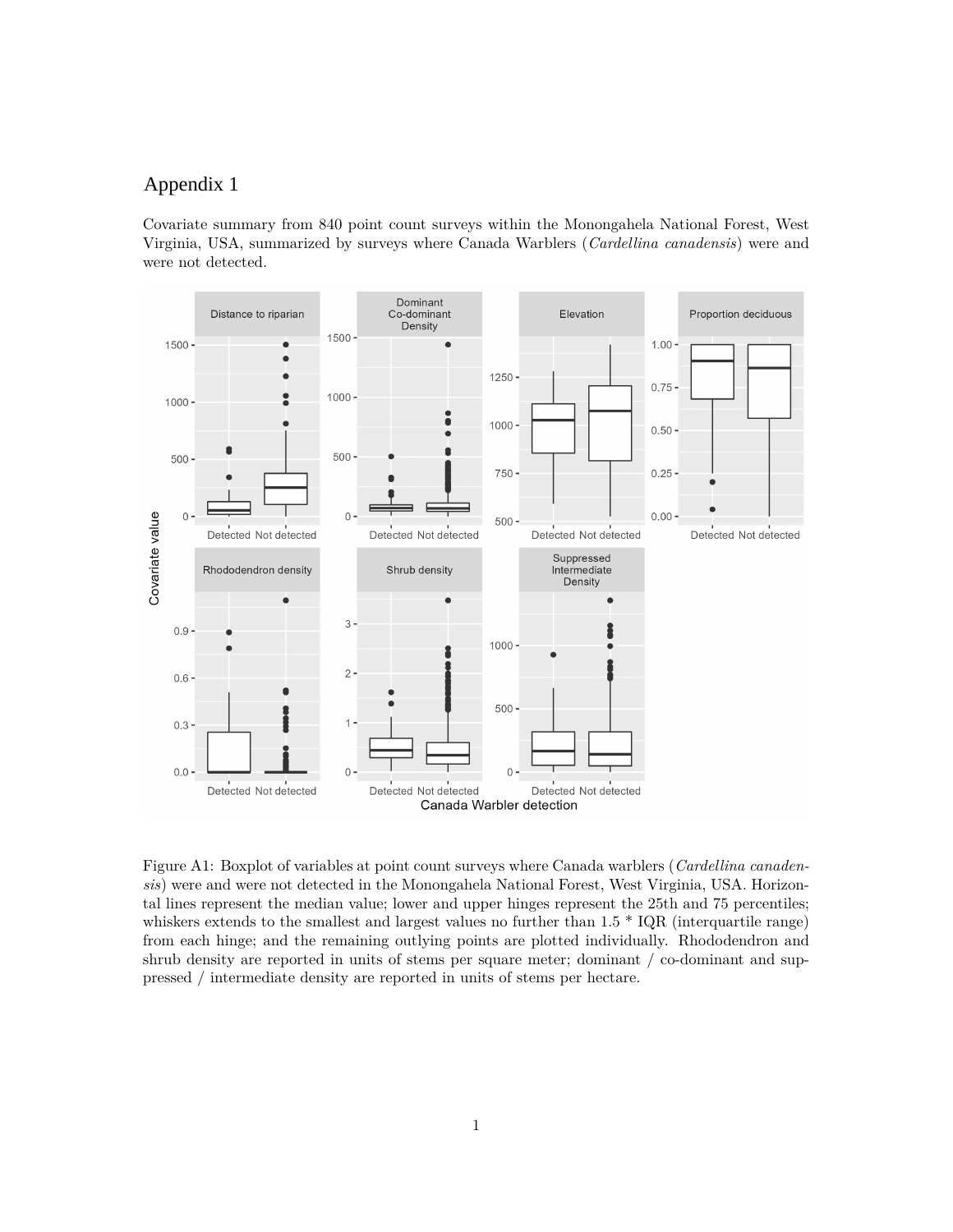## **Appendix A** Appendix 1

Covariate summary from 840 point count surveys within the Monongahela National Forest, West Virginia, USA, summarized by surveys where Canada Warblers (*Cardellina canadensis*) were and were not detected.



Figure A1: Boxplot of variables at point count surveys where Canada warblers (*Cardellina canadensis*) were and were not detected in the Monongahela National Forest, West Virginia, USA. Horizontal lines represent the median value; lower and upper hinges represent the 25th and 75 percentiles; whiskers extends to the smallest and largest values no further than  $1.5 * IQR$  (interquartile range) from each hinge; and the remaining outlying points are plotted individually. Rhododendron and shrub density are reported in units of stems per square meter; dominant / co-dominant and suppressed / intermediate density are reported in units of stems per hectare.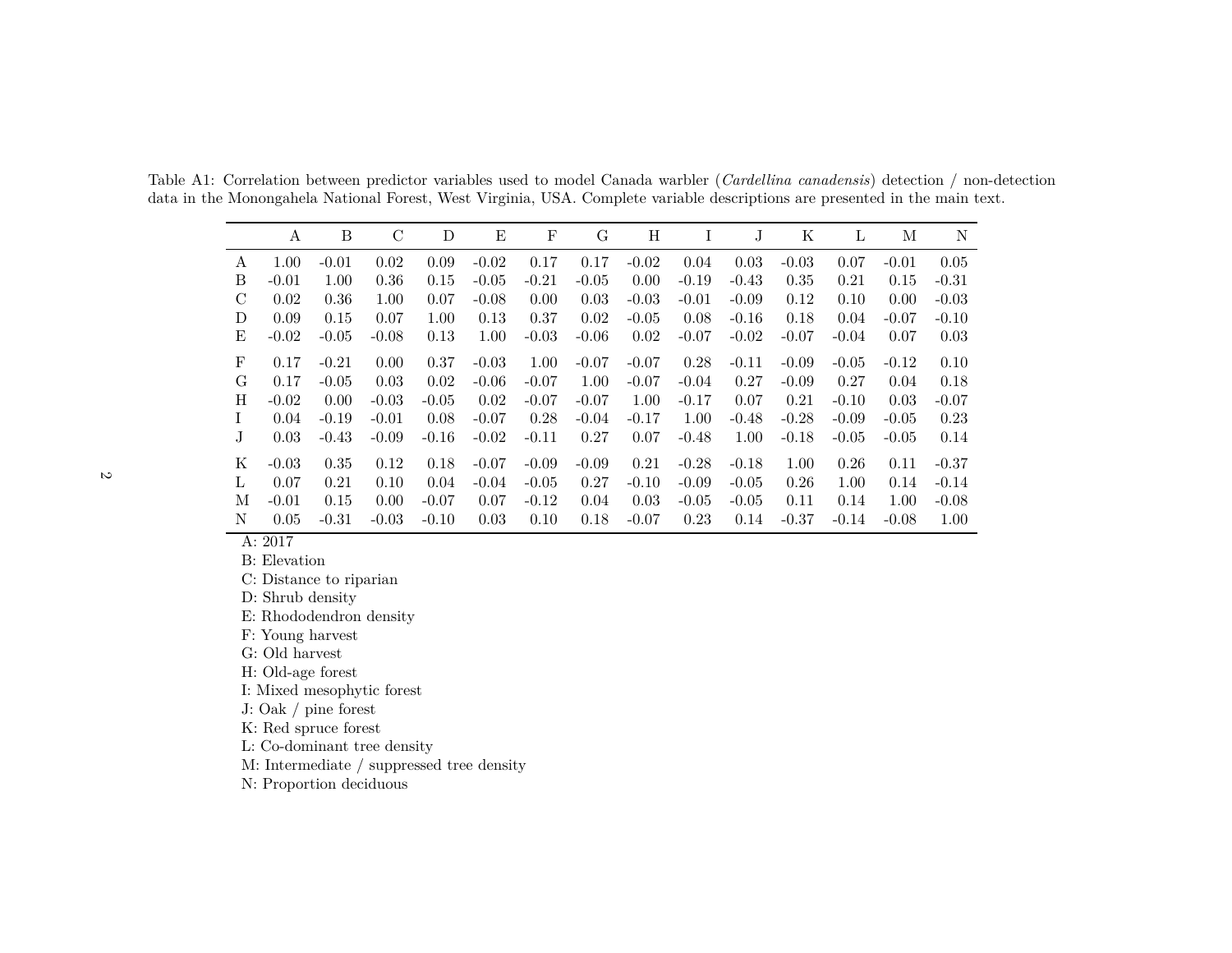Table A1: Correlation between predictor variables used to model Canada warbler (*Cardellina canadensis*) detection / non-detectiondata in the Monongahela National Forest, West Virginia, USA. Complete variable descriptions are presented in the main text.

|               | A       | B       | C       | D       | Ε       | $\mathbf{F}$ | G       | Η       |         | J       | Κ       | L       | М       | N       |
|---------------|---------|---------|---------|---------|---------|--------------|---------|---------|---------|---------|---------|---------|---------|---------|
| A             | 1.00    | $-0.01$ | 0.02    | 0.09    | $-0.02$ | 0.17         | 0.17    | $-0.02$ | 0.04    | 0.03    | $-0.03$ | 0.07    | $-0.01$ | 0.05    |
| Β             | $-0.01$ | 1.00    | 0.36    | 0.15    | $-0.05$ | $-0.21$      | $-0.05$ | 0.00    | $-0.19$ | $-0.43$ | 0.35    | 0.21    | 0.15    | $-0.31$ |
| $\mathcal{C}$ | 0.02    | 0.36    | 1.00    | 0.07    | $-0.08$ | 0.00         | 0.03    | $-0.03$ | $-0.01$ | $-0.09$ | 0.12    | 0.10    | 0.00    | $-0.03$ |
| D             | 0.09    | 0.15    | 0.07    | 1.00    | 0.13    | 0.37         | 0.02    | $-0.05$ | 0.08    | $-0.16$ | 0.18    | 0.04    | $-0.07$ | $-0.10$ |
| Ε             | $-0.02$ | $-0.05$ | $-0.08$ | 0.13    | 1.00    | $-0.03$      | $-0.06$ | 0.02    | $-0.07$ | $-0.02$ | $-0.07$ | $-0.04$ | 0.07    | 0.03    |
| F             | 0.17    | $-0.21$ | 0.00    | 0.37    | $-0.03$ | 1.00         | $-0.07$ | $-0.07$ | 0.28    | $-0.11$ | $-0.09$ | $-0.05$ | $-0.12$ | 0.10    |
| G             | 0.17    | $-0.05$ | 0.03    | 0.02    | $-0.06$ | $-0.07$      | 1.00    | $-0.07$ | $-0.04$ | 0.27    | $-0.09$ | 0.27    | 0.04    | 0.18    |
| Η             | $-0.02$ | 0.00    | $-0.03$ | $-0.05$ | 0.02    | $-0.07$      | $-0.07$ | 1.00    | $-0.17$ | 0.07    | 0.21    | $-0.10$ | 0.03    | $-0.07$ |
| Ι             | 0.04    | $-0.19$ | $-0.01$ | 0.08    | $-0.07$ | 0.28         | $-0.04$ | $-0.17$ | 1.00    | $-0.48$ | $-0.28$ | $-0.09$ | $-0.05$ | 0.23    |
| J             | 0.03    | $-0.43$ | $-0.09$ | $-0.16$ | $-0.02$ | $-0.11$      | 0.27    | 0.07    | $-0.48$ | 1.00    | $-0.18$ | $-0.05$ | $-0.05$ | 0.14    |
| Κ             | $-0.03$ | 0.35    | 0.12    | 0.18    | $-0.07$ | $-0.09$      | $-0.09$ | 0.21    | $-0.28$ | $-0.18$ | 1.00    | 0.26    | 0.11    | $-0.37$ |
| L             | 0.07    | 0.21    | 0.10    | 0.04    | $-0.04$ | $-0.05$      | 0.27    | $-0.10$ | $-0.09$ | $-0.05$ | 0.26    | 1.00    | 0.14    | $-0.14$ |
| М             | $-0.01$ | 0.15    | 0.00    | $-0.07$ | 0.07    | $-0.12$      | 0.04    | 0.03    | $-0.05$ | $-0.05$ | 0.11    | 0.14    | 1.00    | $-0.08$ |
| N             | 0.05    | $-0.31$ | $-0.03$ | $-0.10$ | 0.03    | 0.10         | 0.18    | $-0.07$ | 0.23    | 0.14    | $-0.37$ | $-0.14$ | $-0.08$ | 1.00    |

A: 2017

B: Elevation

C: Distance to riparian

D: Shrub density

E: Rhododendron density

F: Young harvest

G: Old harvest

H: Old-age forest

I: Mixed mesophytic forest

J: Oak / <sup>p</sup>ine forest

K: Red spruce forest

L: Co-dominant tree density

M: Intermediate / suppressed tree density

N: Proportion deciduous